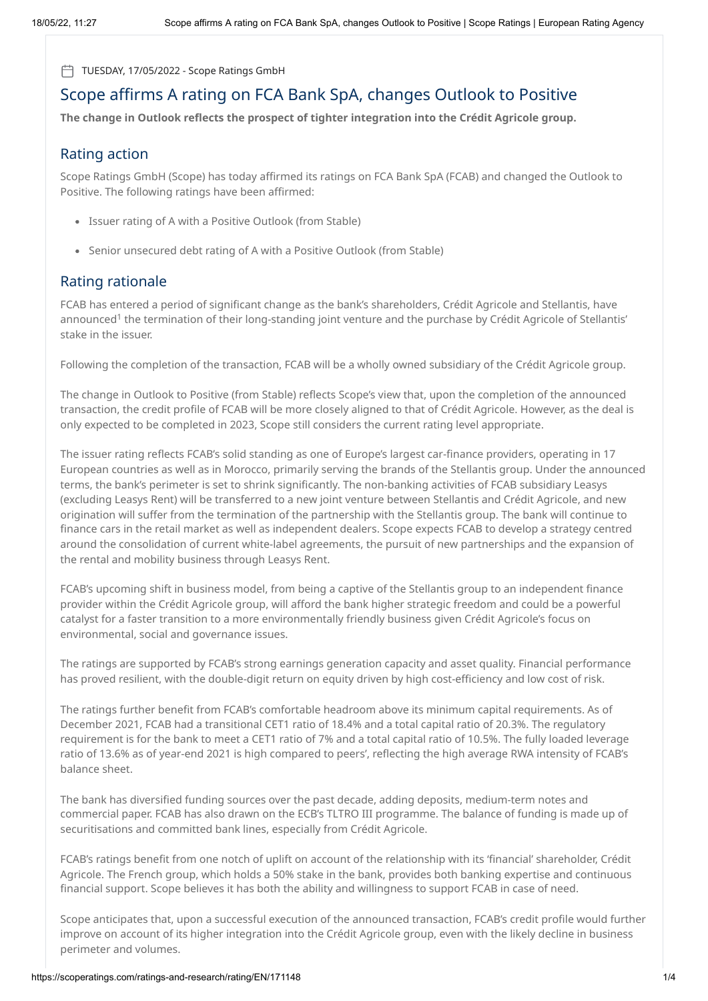### TUESDAY, 17/05/2022 - Scope Ratings GmbH

# Scope affirms A rating on FCA Bank SpA, changes Outlook to Positive

**The change in Outlook reflects the prospect of tighter integration into the Crédit Agricole group.**

# Rating action

Scope Ratings GmbH (Scope) has today affirmed its ratings on FCA Bank SpA (FCAB) and changed the Outlook to Positive. The following ratings have been affirmed:

- Issuer rating of A with a Positive Outlook (from Stable)
- Senior unsecured debt rating of A with a Positive Outlook (from Stable)

## Rating rationale

FCAB has entered a period of significant change as the bank's shareholders, Crédit Agricole and Stellantis, have announced<sup>1</sup> the termination of their long-standing joint venture and the purchase by Crédit Agricole of Stellantis' stake in the issuer.

Following the completion of the transaction, FCAB will be a wholly owned subsidiary of the Crédit Agricole group.

The change in Outlook to Positive (from Stable) reflects Scope's view that, upon the completion of the announced transaction, the credit profile of FCAB will be more closely aligned to that of Crédit Agricole. However, as the deal is only expected to be completed in 2023, Scope still considers the current rating level appropriate.

The issuer rating reflects FCAB's solid standing as one of Europe's largest car-finance providers, operating in 17 European countries as well as in Morocco, primarily serving the brands of the Stellantis group. Under the announced terms, the bank's perimeter is set to shrink significantly. The non-banking activities of FCAB subsidiary Leasys (excluding Leasys Rent) will be transferred to a new joint venture between Stellantis and Crédit Agricole, and new origination will suffer from the termination of the partnership with the Stellantis group. The bank will continue to finance cars in the retail market as well as independent dealers. Scope expects FCAB to develop a strategy centred around the consolidation of current white-label agreements, the pursuit of new partnerships and the expansion of the rental and mobility business through Leasys Rent.

FCAB's upcoming shift in business model, from being a captive of the Stellantis group to an independent finance provider within the Crédit Agricole group, will afford the bank higher strategic freedom and could be a powerful catalyst for a faster transition to a more environmentally friendly business given Crédit Agricole's focus on environmental, social and governance issues.

The ratings are supported by FCAB's strong earnings generation capacity and asset quality. Financial performance has proved resilient, with the double-digit return on equity driven by high cost-efficiency and low cost of risk.

The ratings further benefit from FCAB's comfortable headroom above its minimum capital requirements. As of December 2021, FCAB had a transitional CET1 ratio of 18.4% and a total capital ratio of 20.3%. The regulatory requirement is for the bank to meet a CET1 ratio of 7% and a total capital ratio of 10.5%. The fully loaded leverage ratio of 13.6% as of year-end 2021 is high compared to peers', reflecting the high average RWA intensity of FCAB's balance sheet.

The bank has diversified funding sources over the past decade, adding deposits, medium-term notes and commercial paper. FCAB has also drawn on the ECB's TLTRO III programme. The balance of funding is made up of securitisations and committed bank lines, especially from Crédit Agricole.

FCAB's ratings benefit from one notch of uplift on account of the relationship with its 'financial' shareholder, Crédit Agricole. The French group, which holds a 50% stake in the bank, provides both banking expertise and continuous financial support. Scope believes it has both the ability and willingness to support FCAB in case of need.

Scope anticipates that, upon a successful execution of the announced transaction, FCAB's credit profile would further improve on account of its higher integration into the Crédit Agricole group, even with the likely decline in business perimeter and volumes.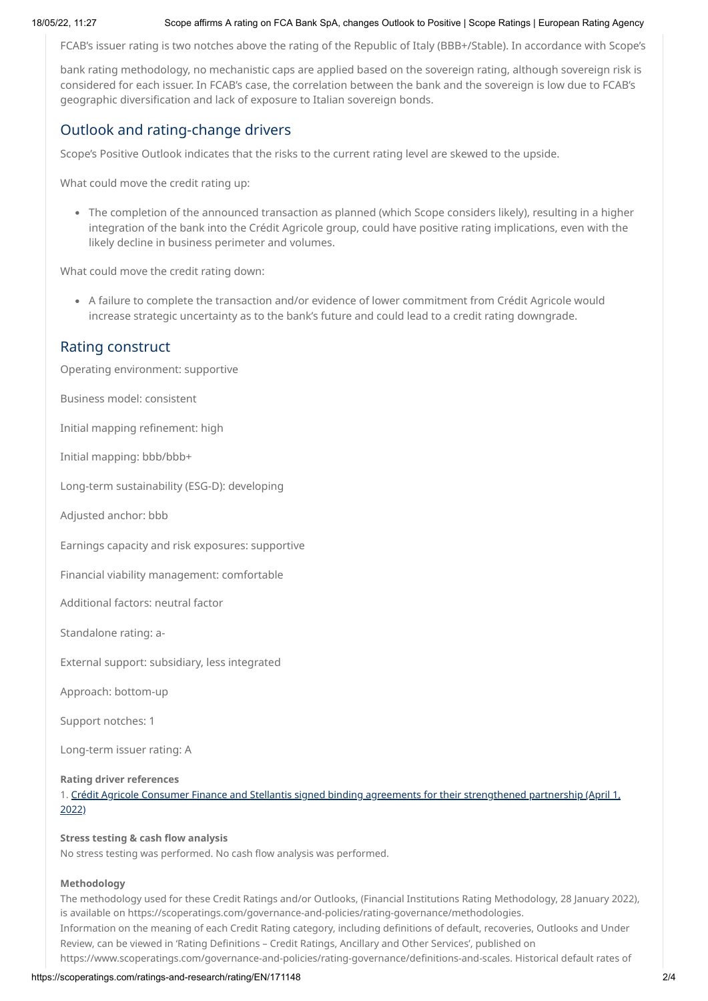18/05/22, 11:27 Scope affirms A rating on FCA Bank SpA, changes Outlook to Positive | Scope Ratings | European Rating Agency

FCAB's issuer rating is two notches above the rating of the Republic of Italy (BBB+/Stable). In accordance with Scope's

bank rating methodology, no mechanistic caps are applied based on the sovereign rating, although sovereign risk is considered for each issuer. In FCAB's case, the correlation between the bank and the sovereign is low due to FCAB's geographic diversification and lack of exposure to Italian sovereign bonds.

# Outlook and rating-change drivers

Scope's Positive Outlook indicates that the risks to the current rating level are skewed to the upside.

What could move the credit rating up:

The completion of the announced transaction as planned (which Scope considers likely), resulting in a higher integration of the bank into the Crédit Agricole group, could have positive rating implications, even with the likely decline in business perimeter and volumes.

What could move the credit rating down:

A failure to complete the transaction and/or evidence of lower commitment from Crédit Agricole would increase strategic uncertainty as to the bank's future and could lead to a credit rating downgrade.

# Rating construct

Operating environment: supportive

Business model: consistent

Initial mapping refinement: high

Initial mapping: bbb/bbb+

Long-term sustainability (ESG-D): developing

Adjusted anchor: bbb

Earnings capacity and risk exposures: supportive

Financial viability management: comfortable

Additional factors: neutral factor

Standalone rating: a-

External support: subsidiary, less integrated

Approach: bottom-up

Support notches: 1

Long-term issuer rating: A

**Rating driver references**

1. Crédit Agricole Consumer Finance and Stellantis signed binding agreements for their [strengthened](https://www.credit-agricole.com/en/pdfPreview/192886) partnership (April 1, 2022)

# **Stress testing & cash flow analysis**

No stress testing was performed. No cash flow analysis was performed.

### **Methodology**

The methodology used for these Credit Ratings and/or Outlooks, (Financial Institutions Rating Methodology, 28 January 2022), is available on https://scoperatings.com/governance-and-policies/rating-governance/methodologies. Information on the meaning of each Credit Rating category, including definitions of default, recoveries, Outlooks and Under Review, can be viewed in 'Rating Definitions – Credit Ratings, Ancillary and Other Services', published on https://www.scoperatings.com/governance-and-policies/rating-governance/definitions-and-scales. Historical default rates of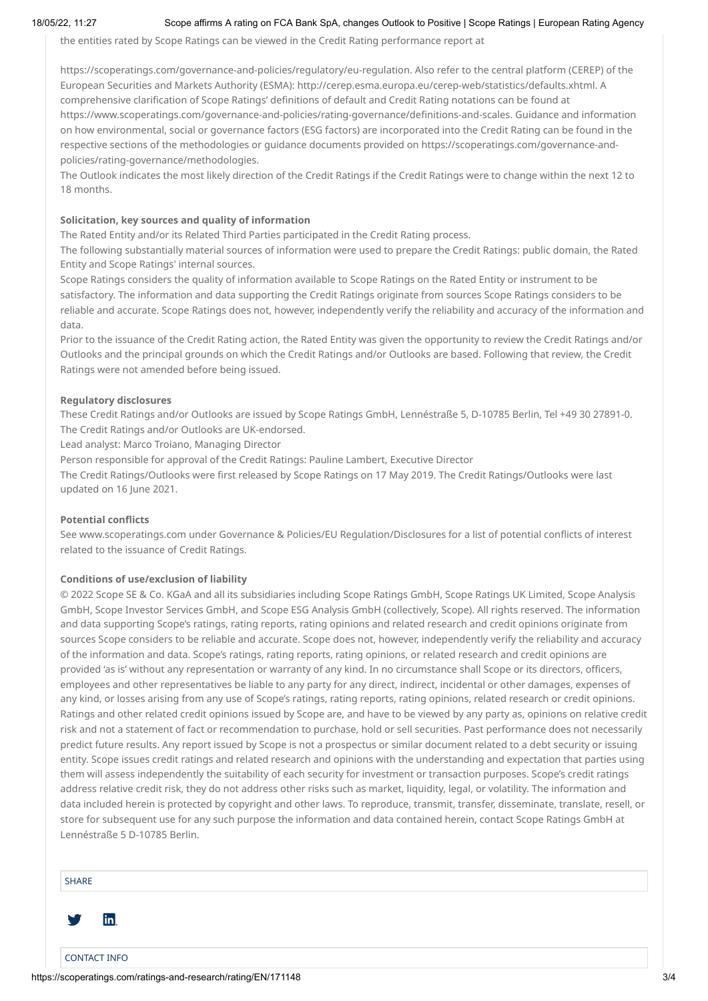#### 18/05/22, 11:27 Scope affirms A rating on FCA Bank SpA, changes Outlook to Positive | Scope Ratings | European Rating Agency

the entities rated by Scope Ratings can be viewed in the Credit Rating performance report at

https://scoperatings.com/governance-and-policies/regulatory/eu-regulation. Also refer to the central platform (CEREP) of the European Securities and Markets Authority (ESMA): http://cerep.esma.europa.eu/cerep-web/statistics/defaults.xhtml. A comprehensive clarification of Scope Ratings' definitions of default and Credit Rating notations can be found at https://www.scoperatings.com/governance-and-policies/rating-governance/definitions-and-scales. Guidance and information on how environmental, social or governance factors (ESG factors) are incorporated into the Credit Rating can be found in the respective sections of the methodologies or guidance documents provided on https://scoperatings.com/governance-andpolicies/rating-governance/methodologies.

The Outlook indicates the most likely direction of the Credit Ratings if the Credit Ratings were to change within the next 12 to 18 months.

## **Solicitation, key sources and quality of information**

The Rated Entity and/or its Related Third Parties participated in the Credit Rating process.

The following substantially material sources of information were used to prepare the Credit Ratings: public domain, the Rated Entity and Scope Ratings' internal sources.

Scope Ratings considers the quality of information available to Scope Ratings on the Rated Entity or instrument to be satisfactory. The information and data supporting the Credit Ratings originate from sources Scope Ratings considers to be reliable and accurate. Scope Ratings does not, however, independently verify the reliability and accuracy of the information and data.

Prior to the issuance of the Credit Rating action, the Rated Entity was given the opportunity to review the Credit Ratings and/or Outlooks and the principal grounds on which the Credit Ratings and/or Outlooks are based. Following that review, the Credit Ratings were not amended before being issued.

## **Regulatory disclosures**

These Credit Ratings and/or Outlooks are issued by Scope Ratings GmbH, Lennéstraße 5, D-10785 Berlin, Tel +49 30 27891-0. The Credit Ratings and/or Outlooks are UK-endorsed.

Lead analyst: Marco Troiano, Managing Director

Person responsible for approval of the Credit Ratings: Pauline Lambert, Executive Director

The Credit Ratings/Outlooks were first released by Scope Ratings on 17 May 2019. The Credit Ratings/Outlooks were last updated on 16 June 2021.

#### **Potential conflicts**

See www.scoperatings.com under Governance & Policies/EU Regulation/Disclosures for a list of potential conflicts of interest related to the issuance of Credit Ratings.

#### **Conditions of use/exclusion of liability**

© 2022 Scope SE & Co. KGaA and all its subsidiaries including Scope Ratings GmbH, Scope Ratings UK Limited, Scope Analysis GmbH, Scope Investor Services GmbH, and Scope ESG Analysis GmbH (collectively, Scope). All rights reserved. The information and data supporting Scope's ratings, rating reports, rating opinions and related research and credit opinions originate from sources Scope considers to be reliable and accurate. Scope does not, however, independently verify the reliability and accuracy of the information and data. Scope's ratings, rating reports, rating opinions, or related research and credit opinions are provided 'as is' without any representation or warranty of any kind. In no circumstance shall Scope or its directors, officers, employees and other representatives be liable to any party for any direct, indirect, incidental or other damages, expenses of any kind, or losses arising from any use of Scope's ratings, rating reports, rating opinions, related research or credit opinions. Ratings and other related credit opinions issued by Scope are, and have to be viewed by any party as, opinions on relative credit risk and not a statement of fact or recommendation to purchase, hold or sell securities. Past performance does not necessarily predict future results. Any report issued by Scope is not a prospectus or similar document related to a debt security or issuing entity. Scope issues credit ratings and related research and opinions with the understanding and expectation that parties using them will assess independently the suitability of each security for investment or transaction purposes. Scope's credit ratings address relative credit risk, they do not address other risks such as market, liquidity, legal, or volatility. The information and data included herein is protected by copyright and other laws. To reproduce, transmit, transfer, disseminate, translate, resell, or store for subsequent use for any such purpose the information and data contained herein, contact Scope Ratings GmbH at Lennéstraße 5 D-10785 Berlin.